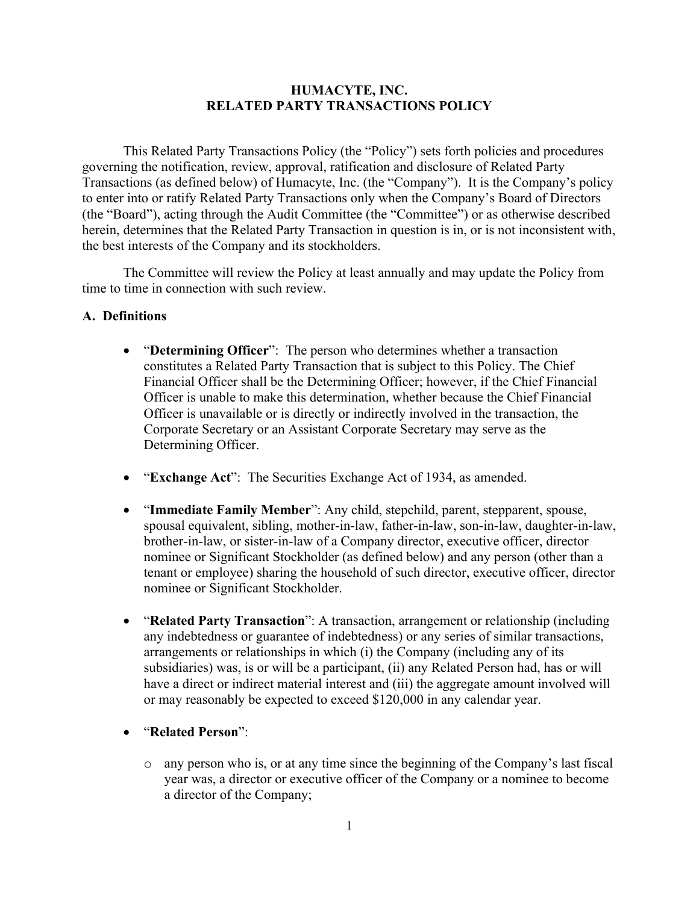#### **HUMACYTE, INC. RELATED PARTY TRANSACTIONS POLICY**

This Related Party Transactions Policy (the "Policy") sets forth policies and procedures governing the notification, review, approval, ratification and disclosure of Related Party Transactions (as defined below) of Humacyte, Inc. (the "Company"). It is the Company's policy to enter into or ratify Related Party Transactions only when the Company's Board of Directors (the "Board"), acting through the Audit Committee (the "Committee") or as otherwise described herein, determines that the Related Party Transaction in question is in, or is not inconsistent with, the best interests of the Company and its stockholders.

The Committee will review the Policy at least annually and may update the Policy from time to time in connection with such review.

#### **A. Definitions**

- "**Determining Officer**": The person who determines whether a transaction constitutes a Related Party Transaction that is subject to this Policy. The Chief Financial Officer shall be the Determining Officer; however, if the Chief Financial Officer is unable to make this determination, whether because the Chief Financial Officer is unavailable or is directly or indirectly involved in the transaction, the Corporate Secretary or an Assistant Corporate Secretary may serve as the Determining Officer.
- "**Exchange Act**": The Securities Exchange Act of 1934, as amended.
- "**Immediate Family Member**": Any child, stepchild, parent, stepparent, spouse, spousal equivalent, sibling, mother-in-law, father-in-law, son-in-law, daughter-in-law, brother-in-law, or sister-in-law of a Company director, executive officer, director nominee or Significant Stockholder (as defined below) and any person (other than a tenant or employee) sharing the household of such director, executive officer, director nominee or Significant Stockholder.
- "**Related Party Transaction**": A transaction, arrangement or relationship (including any indebtedness or guarantee of indebtedness) or any series of similar transactions, arrangements or relationships in which (i) the Company (including any of its subsidiaries) was, is or will be a participant, (ii) any Related Person had, has or will have a direct or indirect material interest and (iii) the aggregate amount involved will or may reasonably be expected to exceed \$120,000 in any calendar year.
- "**Related Person**":
	- o any person who is, or at any time since the beginning of the Company's last fiscal year was, a director or executive officer of the Company or a nominee to become a director of the Company;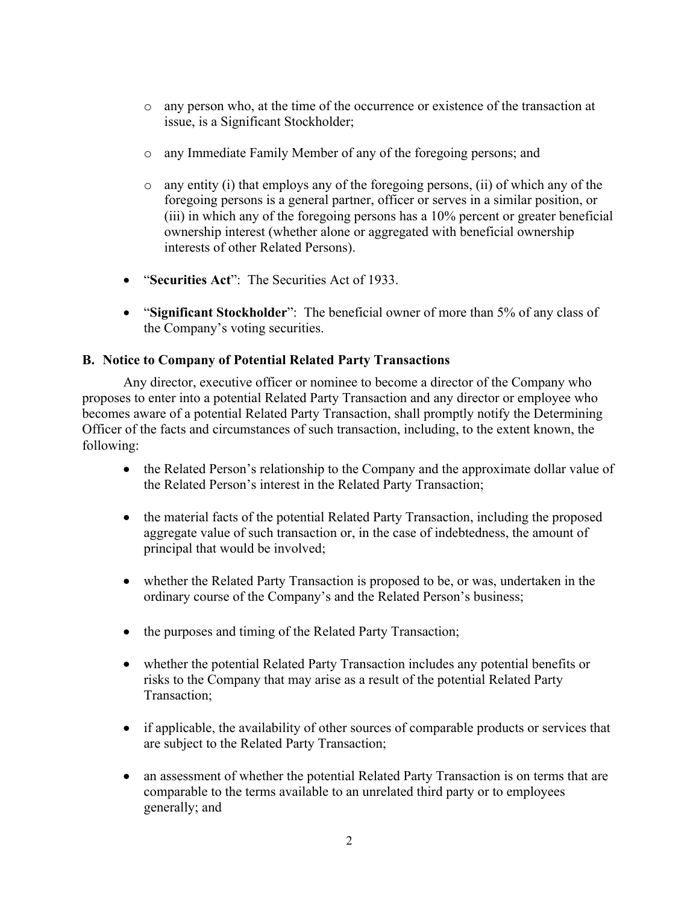- o any person who, at the time of the occurrence or existence of the transaction at issue, is a Significant Stockholder;
- o any Immediate Family Member of any of the foregoing persons; and
- $\circ$  any entity (i) that employs any of the foregoing persons, (ii) of which any of the foregoing persons is a general partner, officer or serves in a similar position, or (iii) in which any of the foregoing persons has a 10% percent or greater beneficial ownership interest (whether alone or aggregated with beneficial ownership interests of other Related Persons).
- "**Securities Act**": The Securities Act of 1933.
- "**Significant Stockholder**": The beneficial owner of more than 5% of any class of the Company's voting securities.

# **B. Notice to Company of Potential Related Party Transactions**

Any director, executive officer or nominee to become a director of the Company who proposes to enter into a potential Related Party Transaction and any director or employee who becomes aware of a potential Related Party Transaction, shall promptly notify the Determining Officer of the facts and circumstances of such transaction, including, to the extent known, the following:

- the Related Person's relationship to the Company and the approximate dollar value of the Related Person's interest in the Related Party Transaction;
- the material facts of the potential Related Party Transaction, including the proposed aggregate value of such transaction or, in the case of indebtedness, the amount of principal that would be involved;
- whether the Related Party Transaction is proposed to be, or was, undertaken in the ordinary course of the Company's and the Related Person's business;
- the purposes and timing of the Related Party Transaction;
- whether the potential Related Party Transaction includes any potential benefits or risks to the Company that may arise as a result of the potential Related Party Transaction;
- if applicable, the availability of other sources of comparable products or services that are subject to the Related Party Transaction;
- an assessment of whether the potential Related Party Transaction is on terms that are comparable to the terms available to an unrelated third party or to employees generally; and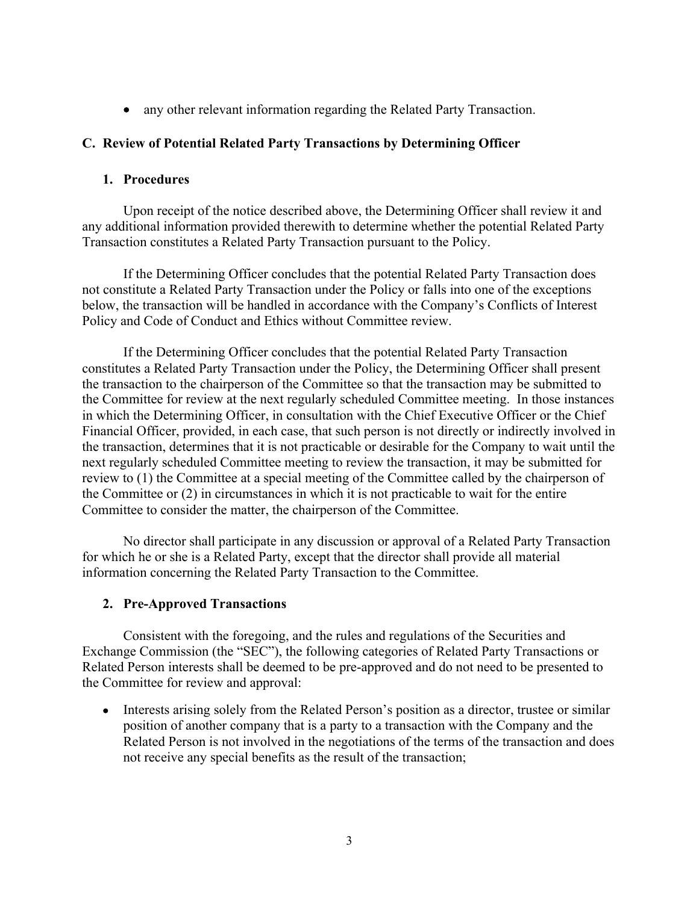• any other relevant information regarding the Related Party Transaction.

### **C. Review of Potential Related Party Transactions by Determining Officer**

#### **1. Procedures**

Upon receipt of the notice described above, the Determining Officer shall review it and any additional information provided therewith to determine whether the potential Related Party Transaction constitutes a Related Party Transaction pursuant to the Policy.

If the Determining Officer concludes that the potential Related Party Transaction does not constitute a Related Party Transaction under the Policy or falls into one of the exceptions below, the transaction will be handled in accordance with the Company's Conflicts of Interest Policy and Code of Conduct and Ethics without Committee review.

If the Determining Officer concludes that the potential Related Party Transaction constitutes a Related Party Transaction under the Policy, the Determining Officer shall present the transaction to the chairperson of the Committee so that the transaction may be submitted to the Committee for review at the next regularly scheduled Committee meeting. In those instances in which the Determining Officer, in consultation with the Chief Executive Officer or the Chief Financial Officer, provided, in each case, that such person is not directly or indirectly involved in the transaction, determines that it is not practicable or desirable for the Company to wait until the next regularly scheduled Committee meeting to review the transaction, it may be submitted for review to (1) the Committee at a special meeting of the Committee called by the chairperson of the Committee or (2) in circumstances in which it is not practicable to wait for the entire Committee to consider the matter, the chairperson of the Committee.

No director shall participate in any discussion or approval of a Related Party Transaction for which he or she is a Related Party, except that the director shall provide all material information concerning the Related Party Transaction to the Committee.

### **2. Pre-Approved Transactions**

Consistent with the foregoing, and the rules and regulations of the Securities and Exchange Commission (the "SEC"), the following categories of Related Party Transactions or Related Person interests shall be deemed to be pre-approved and do not need to be presented to the Committee for review and approval:

• Interests arising solely from the Related Person's position as a director, trustee or similar position of another company that is a party to a transaction with the Company and the Related Person is not involved in the negotiations of the terms of the transaction and does not receive any special benefits as the result of the transaction;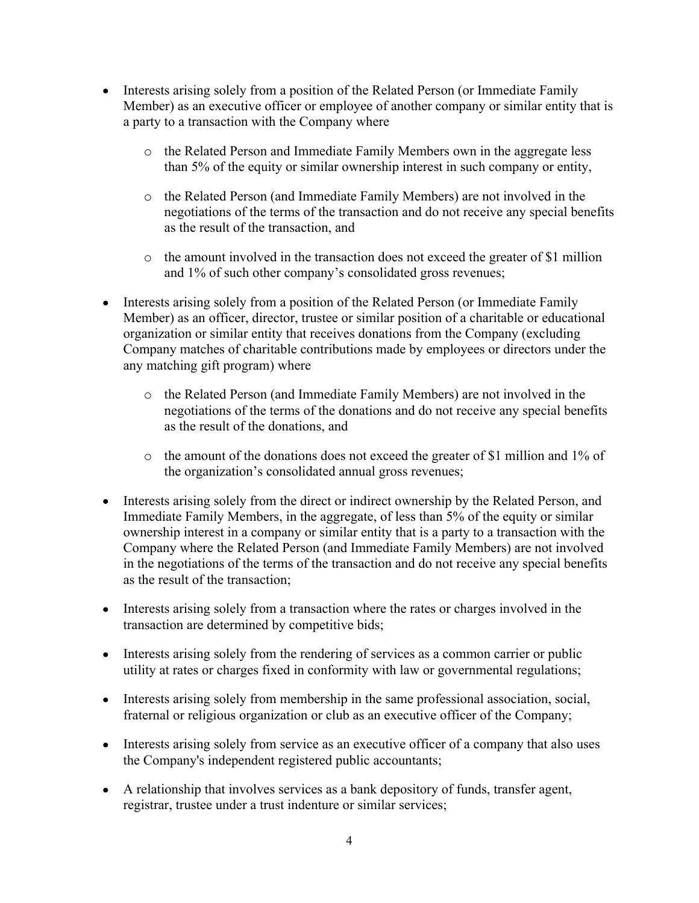- Interests arising solely from a position of the Related Person (or Immediate Family Member) as an executive officer or employee of another company or similar entity that is a party to a transaction with the Company where
	- o the Related Person and Immediate Family Members own in the aggregate less than 5% of the equity or similar ownership interest in such company or entity,
	- o the Related Person (and Immediate Family Members) are not involved in the negotiations of the terms of the transaction and do not receive any special benefits as the result of the transaction, and
	- o the amount involved in the transaction does not exceed the greater of \$1 million and 1% of such other company's consolidated gross revenues;
- Interests arising solely from a position of the Related Person (or Immediate Family Member) as an officer, director, trustee or similar position of a charitable or educational organization or similar entity that receives donations from the Company (excluding Company matches of charitable contributions made by employees or directors under the any matching gift program) where
	- o the Related Person (and Immediate Family Members) are not involved in the negotiations of the terms of the donations and do not receive any special benefits as the result of the donations, and
	- o the amount of the donations does not exceed the greater of \$1 million and 1% of the organization's consolidated annual gross revenues;
- Interests arising solely from the direct or indirect ownership by the Related Person, and Immediate Family Members, in the aggregate, of less than 5% of the equity or similar ownership interest in a company or similar entity that is a party to a transaction with the Company where the Related Person (and Immediate Family Members) are not involved in the negotiations of the terms of the transaction and do not receive any special benefits as the result of the transaction;
- Interests arising solely from a transaction where the rates or charges involved in the transaction are determined by competitive bids;
- Interests arising solely from the rendering of services as a common carrier or public utility at rates or charges fixed in conformity with law or governmental regulations;
- Interests arising solely from membership in the same professional association, social, fraternal or religious organization or club as an executive officer of the Company;
- Interests arising solely from service as an executive officer of a company that also uses the Company's independent registered public accountants;
- A relationship that involves services as a bank depository of funds, transfer agent, registrar, trustee under a trust indenture or similar services;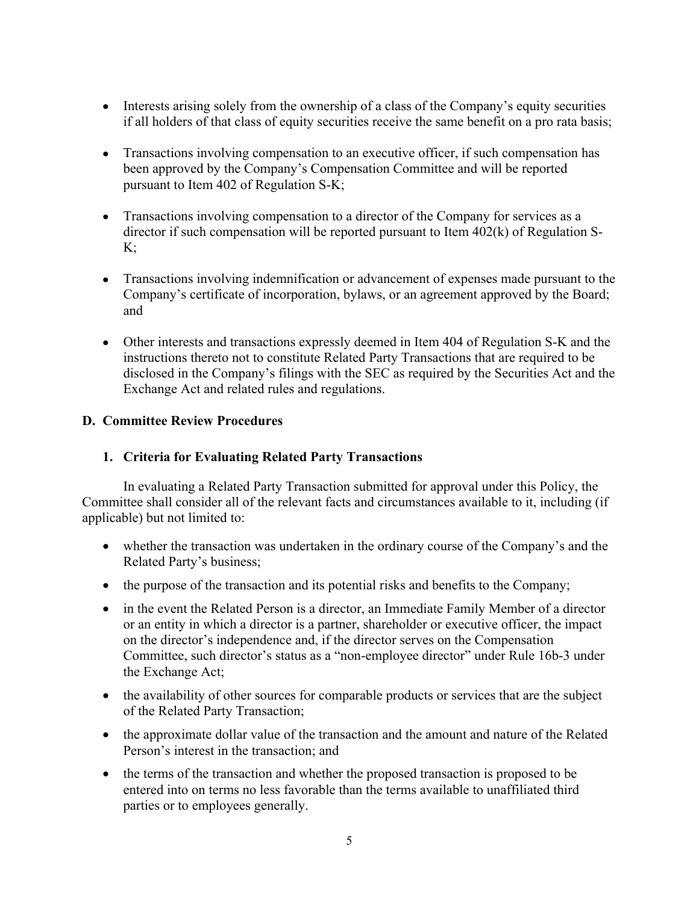- Interests arising solely from the ownership of a class of the Company's equity securities if all holders of that class of equity securities receive the same benefit on a pro rata basis;
- Transactions involving compensation to an executive officer, if such compensation has been approved by the Company's Compensation Committee and will be reported pursuant to Item 402 of Regulation S-K;
- Transactions involving compensation to a director of the Company for services as a director if such compensation will be reported pursuant to Item 402(k) of Regulation S- $K$ :
- Transactions involving indemnification or advancement of expenses made pursuant to the Company's certificate of incorporation, bylaws, or an agreement approved by the Board; and
- Other interests and transactions expressly deemed in Item 404 of Regulation S-K and the instructions thereto not to constitute Related Party Transactions that are required to be disclosed in the Company's filings with the SEC as required by the Securities Act and the Exchange Act and related rules and regulations.

# **D. Committee Review Procedures**

# **1. Criteria for Evaluating Related Party Transactions**

In evaluating a Related Party Transaction submitted for approval under this Policy, the Committee shall consider all of the relevant facts and circumstances available to it, including (if applicable) but not limited to:

- whether the transaction was undertaken in the ordinary course of the Company's and the Related Party's business;
- the purpose of the transaction and its potential risks and benefits to the Company;
- in the event the Related Person is a director, an Immediate Family Member of a director or an entity in which a director is a partner, shareholder or executive officer, the impact on the director's independence and, if the director serves on the Compensation Committee, such director's status as a "non-employee director" under Rule 16b-3 under the Exchange Act;
- the availability of other sources for comparable products or services that are the subject of the Related Party Transaction;
- the approximate dollar value of the transaction and the amount and nature of the Related Person's interest in the transaction; and
- the terms of the transaction and whether the proposed transaction is proposed to be entered into on terms no less favorable than the terms available to unaffiliated third parties or to employees generally.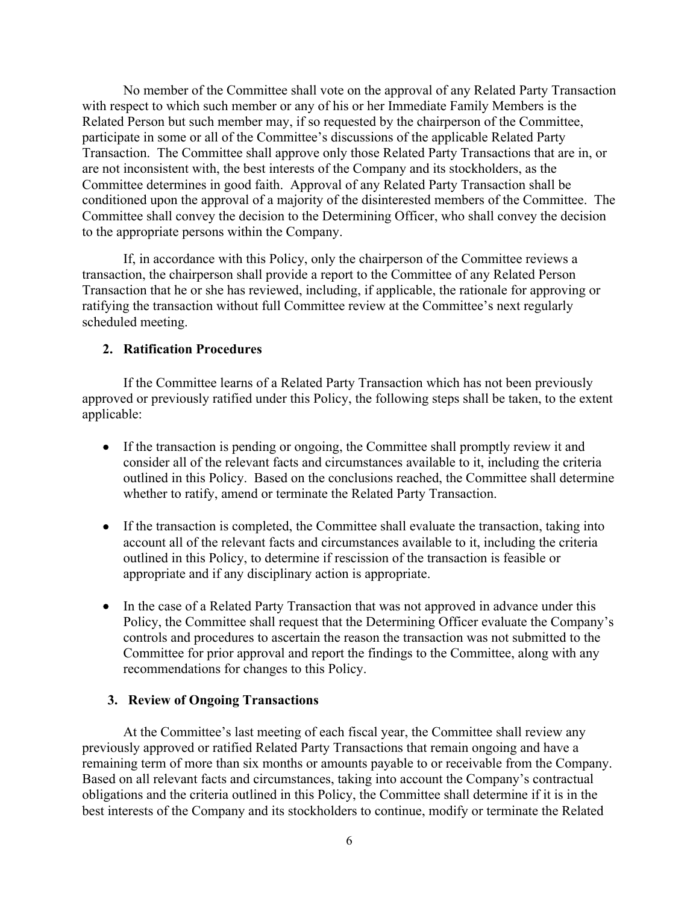No member of the Committee shall vote on the approval of any Related Party Transaction with respect to which such member or any of his or her Immediate Family Members is the Related Person but such member may, if so requested by the chairperson of the Committee, participate in some or all of the Committee's discussions of the applicable Related Party Transaction. The Committee shall approve only those Related Party Transactions that are in, or are not inconsistent with, the best interests of the Company and its stockholders, as the Committee determines in good faith. Approval of any Related Party Transaction shall be conditioned upon the approval of a majority of the disinterested members of the Committee. The Committee shall convey the decision to the Determining Officer, who shall convey the decision to the appropriate persons within the Company.

If, in accordance with this Policy, only the chairperson of the Committee reviews a transaction, the chairperson shall provide a report to the Committee of any Related Person Transaction that he or she has reviewed, including, if applicable, the rationale for approving or ratifying the transaction without full Committee review at the Committee's next regularly scheduled meeting.

### **2. Ratification Procedures**

If the Committee learns of a Related Party Transaction which has not been previously approved or previously ratified under this Policy, the following steps shall be taken, to the extent applicable:

- If the transaction is pending or ongoing, the Committee shall promptly review it and consider all of the relevant facts and circumstances available to it, including the criteria outlined in this Policy. Based on the conclusions reached, the Committee shall determine whether to ratify, amend or terminate the Related Party Transaction.
- If the transaction is completed, the Committee shall evaluate the transaction, taking into account all of the relevant facts and circumstances available to it, including the criteria outlined in this Policy, to determine if rescission of the transaction is feasible or appropriate and if any disciplinary action is appropriate.
- In the case of a Related Party Transaction that was not approved in advance under this Policy, the Committee shall request that the Determining Officer evaluate the Company's controls and procedures to ascertain the reason the transaction was not submitted to the Committee for prior approval and report the findings to the Committee, along with any recommendations for changes to this Policy.

#### **3. Review of Ongoing Transactions**

At the Committee's last meeting of each fiscal year, the Committee shall review any previously approved or ratified Related Party Transactions that remain ongoing and have a remaining term of more than six months or amounts payable to or receivable from the Company. Based on all relevant facts and circumstances, taking into account the Company's contractual obligations and the criteria outlined in this Policy, the Committee shall determine if it is in the best interests of the Company and its stockholders to continue, modify or terminate the Related